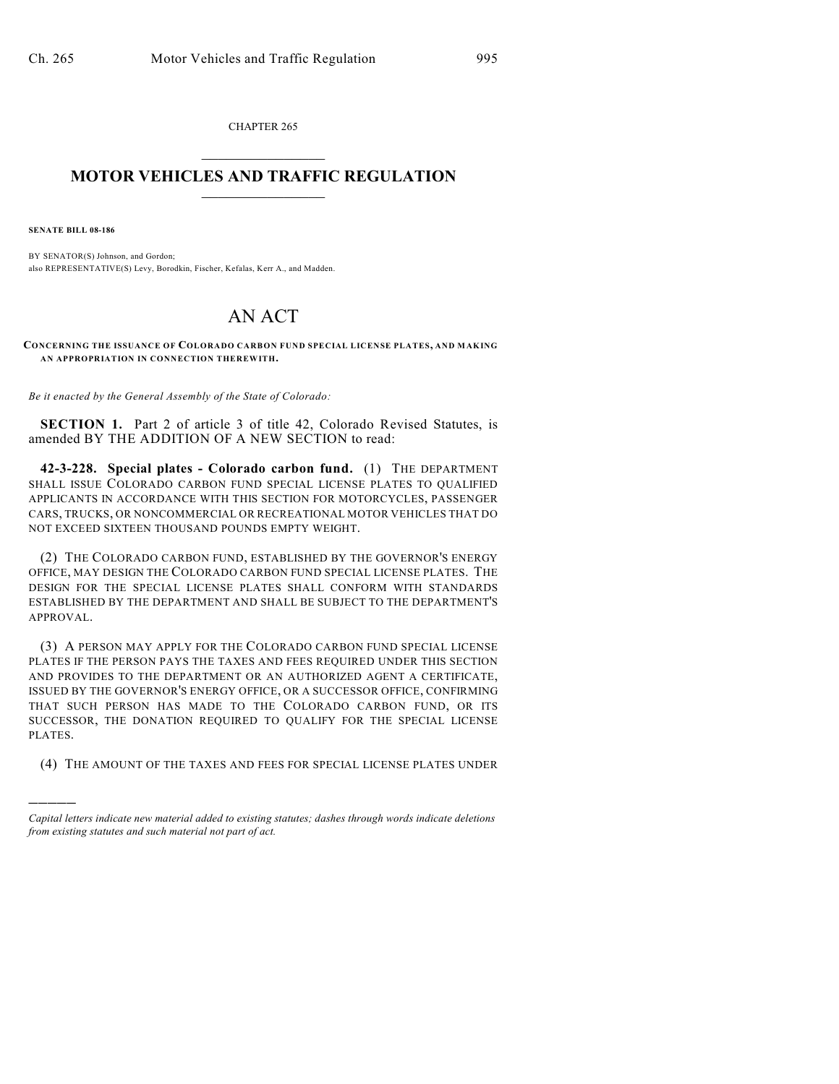CHAPTER 265  $\overline{\phantom{a}}$  . The set of the set of the set of the set of the set of the set of the set of the set of the set of the set of the set of the set of the set of the set of the set of the set of the set of the set of the set o

## **MOTOR VEHICLES AND TRAFFIC REGULATION**  $\frac{1}{2}$  ,  $\frac{1}{2}$  ,  $\frac{1}{2}$  ,  $\frac{1}{2}$  ,  $\frac{1}{2}$  ,  $\frac{1}{2}$  ,  $\frac{1}{2}$  ,  $\frac{1}{2}$

**SENATE BILL 08-186**

)))))

BY SENATOR(S) Johnson, and Gordon; also REPRESENTATIVE(S) Levy, Borodkin, Fischer, Kefalas, Kerr A., and Madden.

## AN ACT

**CONCERNING THE ISSUANCE OF COLORADO CARBON FUND SPECIAL LICENSE PLATES, AND MAKING AN APPROPRIATION IN CONNECTION THEREWITH.**

*Be it enacted by the General Assembly of the State of Colorado:*

**SECTION 1.** Part 2 of article 3 of title 42, Colorado Revised Statutes, is amended BY THE ADDITION OF A NEW SECTION to read:

**42-3-228. Special plates - Colorado carbon fund.** (1) THE DEPARTMENT SHALL ISSUE COLORADO CARBON FUND SPECIAL LICENSE PLATES TO QUALIFIED APPLICANTS IN ACCORDANCE WITH THIS SECTION FOR MOTORCYCLES, PASSENGER CARS, TRUCKS, OR NONCOMMERCIAL OR RECREATIONAL MOTOR VEHICLES THAT DO NOT EXCEED SIXTEEN THOUSAND POUNDS EMPTY WEIGHT.

(2) THE COLORADO CARBON FUND, ESTABLISHED BY THE GOVERNOR'S ENERGY OFFICE, MAY DESIGN THE COLORADO CARBON FUND SPECIAL LICENSE PLATES. THE DESIGN FOR THE SPECIAL LICENSE PLATES SHALL CONFORM WITH STANDARDS ESTABLISHED BY THE DEPARTMENT AND SHALL BE SUBJECT TO THE DEPARTMENT'S APPROVAL.

(3) A PERSON MAY APPLY FOR THE COLORADO CARBON FUND SPECIAL LICENSE PLATES IF THE PERSON PAYS THE TAXES AND FEES REQUIRED UNDER THIS SECTION AND PROVIDES TO THE DEPARTMENT OR AN AUTHORIZED AGENT A CERTIFICATE, ISSUED BY THE GOVERNOR'S ENERGY OFFICE, OR A SUCCESSOR OFFICE, CONFIRMING THAT SUCH PERSON HAS MADE TO THE COLORADO CARBON FUND, OR ITS SUCCESSOR, THE DONATION REQUIRED TO QUALIFY FOR THE SPECIAL LICENSE PLATES.

(4) THE AMOUNT OF THE TAXES AND FEES FOR SPECIAL LICENSE PLATES UNDER

*Capital letters indicate new material added to existing statutes; dashes through words indicate deletions from existing statutes and such material not part of act.*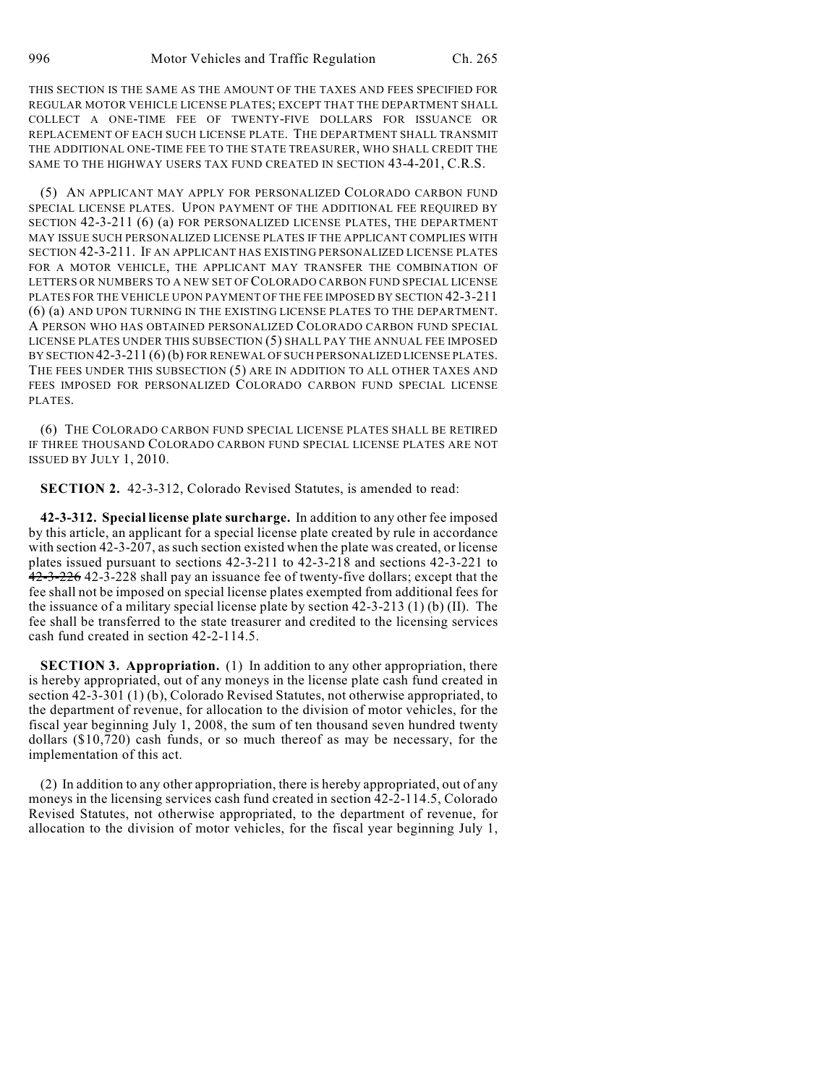THIS SECTION IS THE SAME AS THE AMOUNT OF THE TAXES AND FEES SPECIFIED FOR REGULAR MOTOR VEHICLE LICENSE PLATES; EXCEPT THAT THE DEPARTMENT SHALL COLLECT A ONE-TIME FEE OF TWENTY-FIVE DOLLARS FOR ISSUANCE OR REPLACEMENT OF EACH SUCH LICENSE PLATE. THE DEPARTMENT SHALL TRANSMIT THE ADDITIONAL ONE-TIME FEE TO THE STATE TREASURER, WHO SHALL CREDIT THE SAME TO THE HIGHWAY USERS TAX FUND CREATED IN SECTION 43-4-201, C.R.S.

(5) AN APPLICANT MAY APPLY FOR PERSONALIZED COLORADO CARBON FUND SPECIAL LICENSE PLATES. UPON PAYMENT OF THE ADDITIONAL FEE REQUIRED BY SECTION 42-3-211 (6) (a) FOR PERSONALIZED LICENSE PLATES, THE DEPARTMENT MAY ISSUE SUCH PERSONALIZED LICENSE PLATES IF THE APPLICANT COMPLIES WITH SECTION 42-3-211. IF AN APPLICANT HAS EXISTING PERSONALIZED LICENSE PLATES FOR A MOTOR VEHICLE, THE APPLICANT MAY TRANSFER THE COMBINATION OF LETTERS OR NUMBERS TO A NEW SET OF COLORADO CARBON FUND SPECIAL LICENSE PLATES FOR THE VEHICLE UPON PAYMENT OF THE FEE IMPOSED BY SECTION 42-3-211 (6) (a) AND UPON TURNING IN THE EXISTING LICENSE PLATES TO THE DEPARTMENT. A PERSON WHO HAS OBTAINED PERSONALIZED COLORADO CARBON FUND SPECIAL LICENSE PLATES UNDER THIS SUBSECTION (5) SHALL PAY THE ANNUAL FEE IMPOSED BY SECTION 42-3-211 (6) (b) FOR RENEWAL OF SUCH PERSONALIZED LICENSE PLATES. THE FEES UNDER THIS SUBSECTION (5) ARE IN ADDITION TO ALL OTHER TAXES AND FEES IMPOSED FOR PERSONALIZED COLORADO CARBON FUND SPECIAL LICENSE PLATES.

(6) THE COLORADO CARBON FUND SPECIAL LICENSE PLATES SHALL BE RETIRED IF THREE THOUSAND COLORADO CARBON FUND SPECIAL LICENSE PLATES ARE NOT ISSUED BY JULY 1, 2010.

**SECTION 2.** 42-3-312, Colorado Revised Statutes, is amended to read:

**42-3-312. Special license plate surcharge.** In addition to any other fee imposed by this article, an applicant for a special license plate created by rule in accordance with section 42-3-207, as such section existed when the plate was created, or license plates issued pursuant to sections 42-3-211 to 42-3-218 and sections 42-3-221 to 42-3-226 42-3-228 shall pay an issuance fee of twenty-five dollars; except that the fee shall not be imposed on special license plates exempted from additional fees for the issuance of a military special license plate by section 42-3-213 (1) (b) (II). The fee shall be transferred to the state treasurer and credited to the licensing services cash fund created in section 42-2-114.5.

**SECTION 3. Appropriation.** (1) In addition to any other appropriation, there is hereby appropriated, out of any moneys in the license plate cash fund created in section 42-3-301 (1) (b), Colorado Revised Statutes, not otherwise appropriated, to the department of revenue, for allocation to the division of motor vehicles, for the fiscal year beginning July 1, 2008, the sum of ten thousand seven hundred twenty dollars (\$10,720) cash funds, or so much thereof as may be necessary, for the implementation of this act.

(2) In addition to any other appropriation, there is hereby appropriated, out of any moneys in the licensing services cash fund created in section 42-2-114.5, Colorado Revised Statutes, not otherwise appropriated, to the department of revenue, for allocation to the division of motor vehicles, for the fiscal year beginning July 1,